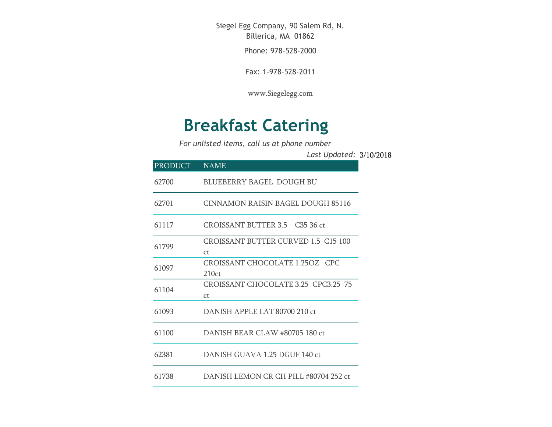Siegel Egg Company, 90 Salem Rd, N. Billerica, MA 01862

Phone: 978-528-2000

Fax: 1-978-528-2011

[www.Siegelegg.com](http://www.siegelegg.com/)

## **Breakfast Catering**

*For unlisted items, call us at phone number*

3/10/2018 *Last Updated:*

| PRODUCT | <b>NAME</b>                                           |
|---------|-------------------------------------------------------|
| 62700   | <b>BLUEBERRY BAGEL DOUGH BU</b>                       |
| 62701   | CINNAMON RAISIN BAGEL DOUGH 85116                     |
| 61117   | CROISSANT BUTTER 3.5 C35 36 ct                        |
| 61799   | CROISSANT BUTTER CURVED 1.5 C15 100<br><sub>C</sub> t |
| 61097   | CROISSANT CHOCOLATE 1.25OZ CPC<br>210ct               |
| 61104   | CROISSANT CHOCOLATE 3.25 CPC3.25 75<br>Ct.            |
| 61093   | DANISH APPLE LAT 80700 210 ct                         |
| 61100   | DANISH BEAR CLAW #80705 180 ct                        |
| 62381   | DANISH GUAVA 1.25 DGUF 140 ct                         |
| 61738   | DANISH LEMON CR CH PILL #80704 252 ct                 |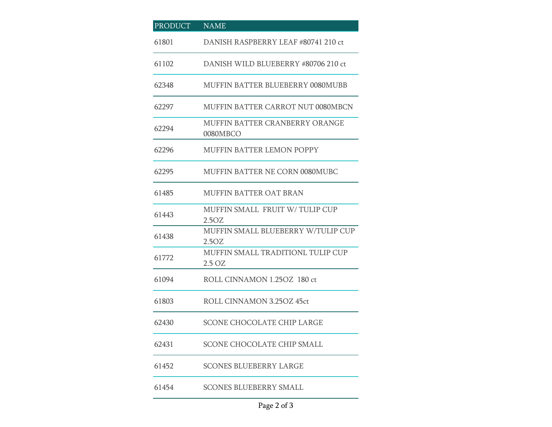| <b>PRODUCT</b> | <b>NAME</b>                                 |
|----------------|---------------------------------------------|
| 61801          | DANISH RASPBERRY LEAF #80741 210 ct         |
| 61102          | DANISH WILD BLUEBERRY #80706 210 ct         |
| 62348          | <b>MUFFIN BATTER BLUEBERRY 0080MUBB</b>     |
| 62297          | MUFFIN BATTER CARROT NUT 0080MBCN           |
| 62294          | MUFFIN BATTER CRANBERRY ORANGE<br>0080MBCO  |
| 62296          | <b>MUFFIN BATTER LEMON POPPY</b>            |
| 62295          | <b>MUFFIN BATTER NE CORN 0080MUBC</b>       |
| 61485          | <b>MUFFIN BATTER OAT BRAN</b>               |
| 61443          | MUFFIN SMALL FRUIT W/TULIP CUP<br>2.5OZ     |
| 61438          | MUFFIN SMALL BLUEBERRY W/TULIP CUP<br>2.5OZ |
| 61772          | MUFFIN SMALL TRADITIONL TULIP CUP<br>2.5 OZ |
| 61094          | ROLL CINNAMON 1.250Z 180 ct                 |
| 61803          | ROLL CINNAMON 3.25OZ 45ct                   |
| 62430          | <b>SCONE CHOCOLATE CHIP LARGE</b>           |
| 62431          | SCONE CHOCOLATE CHIP SMALL                  |
| 61452          | <b>SCONES BLUEBERRY LARGE</b>               |
| 61454          | <b>SCONES BLUEBERRY SMALL</b>               |